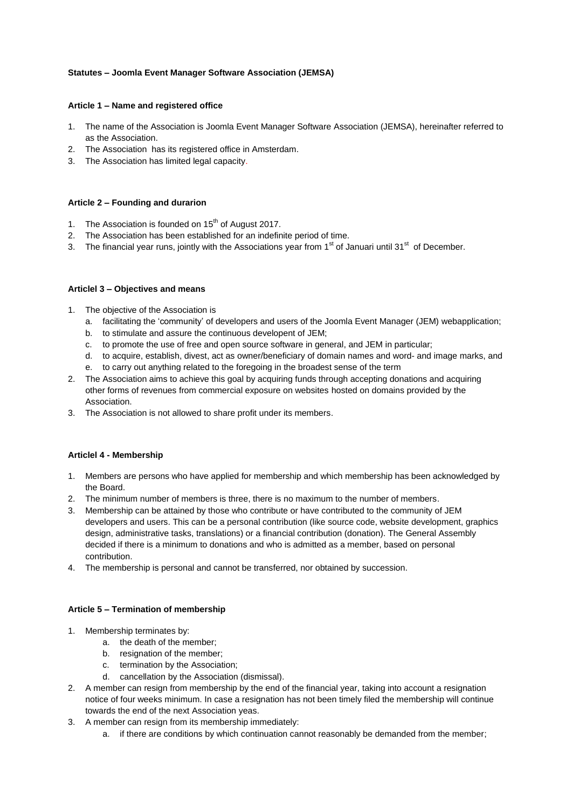## **Statutes – Joomla Event Manager Software Association (JEMSA)**

### **Article 1 – Name and registered office**

- 1. The name of the Association is Joomla Event Manager Software Association (JEMSA), hereinafter referred to as the Association.
- 2. The Association has its registered office in Amsterdam.
- 3. The Association has limited legal capacity.

## **Article 2 – Founding and durarion**

- 1. The Association is founded on  $15<sup>th</sup>$  of August 2017.
- 2. The Association has been established for an indefinite period of time.
- 3. The financial year runs, jointly with the Associations year from 1<sup>st</sup> of Januari until 31<sup>st</sup> of December.

### **Articlel 3 – Objectives and means**

- 1. The objective of the Association is
	- a. facilitating the 'community' of developers and users of the Joomla Event Manager (JEM) webapplication;
	- b. to stimulate and assure the continuous developent of JEM;
	- c. to promote the use of free and open source software in general, and JEM in particular;
	- d. to acquire, establish, divest, act as owner/beneficiary of domain names and word- and image marks, and
	- e. to carry out anything related to the foregoing in the broadest sense of the term
- 2. The Association aims to achieve this goal by acquiring funds through accepting donations and acquiring other forms of revenues from commercial exposure on websites hosted on domains provided by the Association.
- 3. The Association is not allowed to share profit under its members.

## **Articlel 4 - Membership**

- 1. Members are persons who have applied for membership and which membership has been acknowledged by the Board.
- 2. The minimum number of members is three, there is no maximum to the number of members.
- 3. Membership can be attained by those who contribute or have contributed to the community of JEM developers and users. This can be a personal contribution (like source code, website development, graphics design, administrative tasks, translations) or a financial contribution (donation). The General Assembly decided if there is a minimum to donations and who is admitted as a member, based on personal contribution.
- 4. The membership is personal and cannot be transferred, nor obtained by succession.

## **Article 5 – Termination of membership**

- 1. Membership terminates by:
	- a. the death of the member;
	- b. resignation of the member;
	- c. termination by the Association;
	- d. cancellation by the Association (dismissal).
- 2. A member can resign from membership by the end of the financial year, taking into account a resignation notice of four weeks minimum. In case a resignation has not been timely filed the membership will continue towards the end of the next Association yeas.
- 3. A member can resign from its membership immediately:
	- a. if there are conditions by which continuation cannot reasonably be demanded from the member;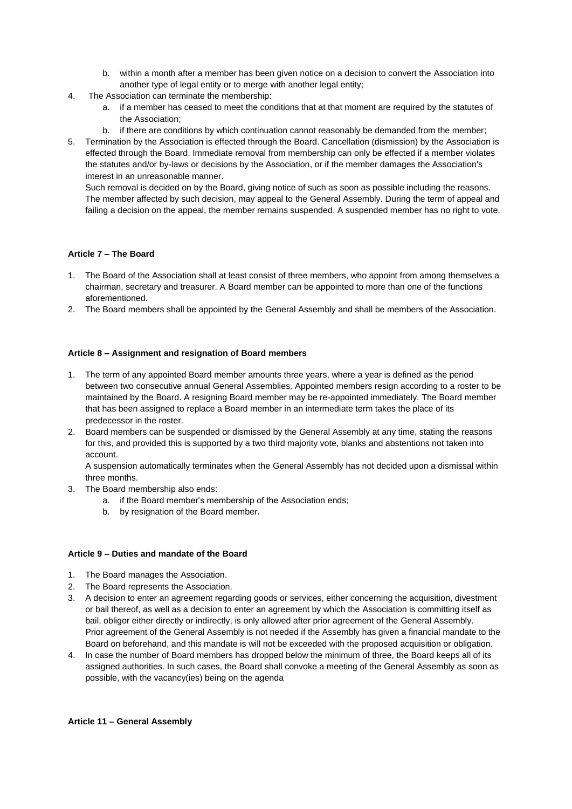- b. within a month after a member has been given notice on a decision to convert the Association into another type of legal entity or to merge with another legal entity;
- 4. The Association can terminate the membership:
	- a. if a member has ceased to meet the conditions that at that moment are required by the statutes of the Association;
	- b. if there are conditions by which continuation cannot reasonably be demanded from the member;
- 5. Termination by the Association is effected through the Board. Cancellation (dismission) by the Association is effected through the Board. Immediate removal from membership can only be effected if a member violates the statutes and/or by-laws or decisions by the Association, or if the member damages the Association's interest in an unreasonable manner.

Such removal is decided on by the Board, giving notice of such as soon as possible including the reasons. The member affected by such decision, may appeal to the General Assembly. During the term of appeal and failing a decision on the appeal, the member remains suspended. A suspended member has no right to vote.

## **Article 7 – The Board**

- 1. The Board of the Association shall at least consist of three members, who appoint from among themselves a chairman, secretary and treasurer. A Board member can be appointed to more than one of the functions aforementioned.
- 2. The Board members shall be appointed by the General Assembly and shall be members of the Association.

### **Article 8 – Assignment and resignation of Board members**

- 1. The term of any appointed Board member amounts three years, where a year is defined as the period between two consecutive annual General Assemblies. Appointed members resign according to a roster to be maintained by the Board. A resigning Board member may be re-appointed immediately. The Board member that has been assigned to replace a Board member in an intermediate term takes the place of its predecessor in the roster.
- 2. Board members can be suspended or dismissed by the General Assembly at any time, stating the reasons for this, and provided this is supported by a two third majority vote, blanks and abstentions not taken into account.

A suspension automatically terminates when the General Assembly has not decided upon a dismissal within three months.

- 3. The Board membership also ends:
	- a. if the Board member's membership of the Association ends;
	- b. by resignation of the Board member.

### **Article 9 – Duties and mandate of the Board**

- 1. The Board manages the Association.
- 2. The Board represents the Association.
- 3. A decision to enter an agreement regarding goods or services, either concerning the acquisition, divestment or bail thereof, as well as a decision to enter an agreement by which the Association is committing itself as bail, obligor either directly or indirectly, is only allowed after prior agreement of the General Assembly. Prior agreement of the General Assembly is not needed if the Assembly has given a financial mandate to the Board on beforehand, and this mandate is will not be exceeded with the proposed acquisition or obligation.
- 4. In case the number of Board members has dropped below the minimum of three, the Board keeps all of its assigned authorities. In such cases, the Board shall convoke a meeting of the General Assembly as soon as possible, with the vacancy(ies) being on the agenda

#### **Article 11 – General Assembly**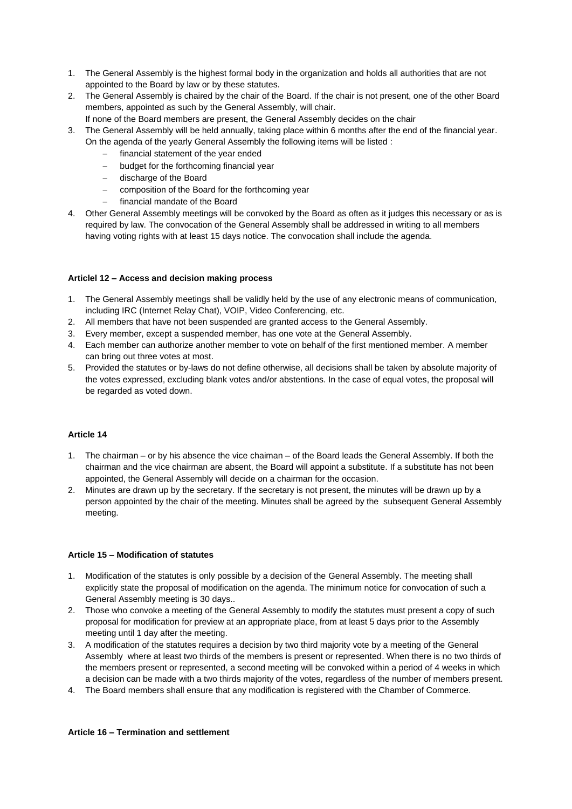- 1. The General Assembly is the highest formal body in the organization and holds all authorities that are not appointed to the Board by law or by these statutes.
- 2. The General Assembly is chaired by the chair of the Board. If the chair is not present, one of the other Board members, appointed as such by the General Assembly, will chair.
	- If none of the Board members are present, the General Assembly decides on the chair
- 3. The General Assembly will be held annually, taking place within 6 months after the end of the financial year. On the agenda of the yearly General Assembly the following items will be listed :
	- $-$  financial statement of the year ended
	- budget for the forthcoming financial year
	- discharge of the Board
	- composition of the Board for the forthcoming year
	- financial mandate of the Board
- 4. Other General Assembly meetings will be convoked by the Board as often as it judges this necessary or as is required by law. The convocation of the General Assembly shall be addressed in writing to all members having voting rights with at least 15 days notice. The convocation shall include the agenda.

# **Articlel 12 – Access and decision making process**

- 1. The General Assembly meetings shall be validly held by the use of any electronic means of communication, including IRC (Internet Relay Chat), VOIP, Video Conferencing, etc.
- 2. All members that have not been suspended are granted access to the General Assembly.
- 3. Every member, except a suspended member, has one vote at the General Assembly.
- 4. Each member can authorize another member to vote on behalf of the first mentioned member. A member can bring out three votes at most.
- 5. Provided the statutes or by-laws do not define otherwise, all decisions shall be taken by absolute majority of the votes expressed, excluding blank votes and/or abstentions. In the case of equal votes, the proposal will be regarded as voted down.

## **Article 14**

- 1. The chairman or by his absence the vice chaiman of the Board leads the General Assembly. If both the chairman and the vice chairman are absent, the Board will appoint a substitute. If a substitute has not been appointed, the General Assembly will decide on a chairman for the occasion.
- 2. Minutes are drawn up by the secretary. If the secretary is not present, the minutes will be drawn up by a person appointed by the chair of the meeting. Minutes shall be agreed by the subsequent General Assembly meeting.

## **Article 15 – Modification of statutes**

- 1. Modification of the statutes is only possible by a decision of the General Assembly. The meeting shall explicitly state the proposal of modification on the agenda. The minimum notice for convocation of such a General Assembly meeting is 30 days..
- 2. Those who convoke a meeting of the General Assembly to modify the statutes must present a copy of such proposal for modification for preview at an appropriate place, from at least 5 days prior to the Assembly meeting until 1 day after the meeting.
- 3. A modification of the statutes requires a decision by two third majority vote by a meeting of the General Assembly where at least two thirds of the members is present or represented. When there is no two thirds of the members present or represented, a second meeting will be convoked within a period of 4 weeks in which a decision can be made with a two thirds majority of the votes, regardless of the number of members present.
- 4. The Board members shall ensure that any modification is registered with the Chamber of Commerce.

#### **Article 16 – Termination and settlement**